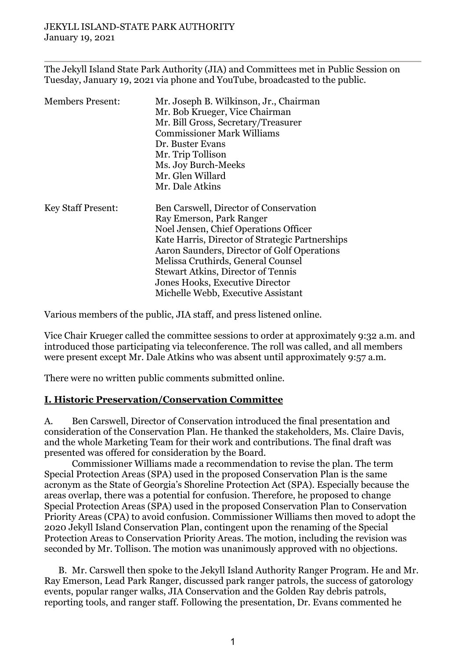The Jekyll Island State Park Authority (JIA) and Committees met in Public Session on Tuesday, January 19, 2021 via phone and YouTube, broadcasted to the public.

| <b>Members Present:</b>   | Mr. Joseph B. Wilkinson, Jr., Chairman<br>Mr. Bob Krueger, Vice Chairman<br>Mr. Bill Gross, Secretary/Treasurer<br><b>Commissioner Mark Williams</b><br>Dr. Buster Evans<br>Mr. Trip Tollison<br>Ms. Joy Burch-Meeks                                                                                                                                                      |
|---------------------------|---------------------------------------------------------------------------------------------------------------------------------------------------------------------------------------------------------------------------------------------------------------------------------------------------------------------------------------------------------------------------|
|                           | Mr. Glen Willard<br>Mr. Dale Atkins                                                                                                                                                                                                                                                                                                                                       |
| <b>Key Staff Present:</b> | Ben Carswell, Director of Conservation<br>Ray Emerson, Park Ranger<br>Noel Jensen, Chief Operations Officer<br>Kate Harris, Director of Strategic Partnerships<br>Aaron Saunders, Director of Golf Operations<br>Melissa Cruthirds, General Counsel<br><b>Stewart Atkins, Director of Tennis</b><br>Jones Hooks, Executive Director<br>Michelle Webb, Executive Assistant |

Various members of the public, JIA staff, and press listened online.

Vice Chair Krueger called the committee sessions to order at approximately 9:32 a.m. and introduced those participating via teleconference. The roll was called, and all members were present except Mr. Dale Atkins who was absent until approximately 9:57 a.m.

There were no written public comments submitted online.

### **I. Historic Preservation/Conservation Committee**

A. Ben Carswell, Director of Conservation introduced the final presentation and consideration of the Conservation Plan. He thanked the stakeholders, Ms. Claire Davis, and the whole Marketing Team for their work and contributions. The final draft was presented was offered for consideration by the Board.

Commissioner Williams made a recommendation to revise the plan. The term Special Protection Areas (SPA) used in the proposed Conservation Plan is the same acronym as the State of Georgia's Shoreline Protection Act (SPA). Especially because the areas overlap, there was a potential for confusion. Therefore, he proposed to change Special Protection Areas (SPA) used in the proposed Conservation Plan to Conservation Priority Areas (CPA) to avoid confusion. Commissioner Williams then moved to adopt the 2020 Jekyll Island Conservation Plan, contingent upon the renaming of the Special Protection Areas to Conservation Priority Areas. The motion, including the revision was seconded by Mr. Tollison. The motion was unanimously approved with no objections.

B. Mr. Carswell then spoke to the Jekyll Island Authority Ranger Program. He and Mr. Ray Emerson, Lead Park Ranger, discussed park ranger patrols, the success of gatorology events, popular ranger walks, JIA Conservation and the Golden Ray debris patrols, reporting tools, and ranger staff. Following the presentation, Dr. Evans commented he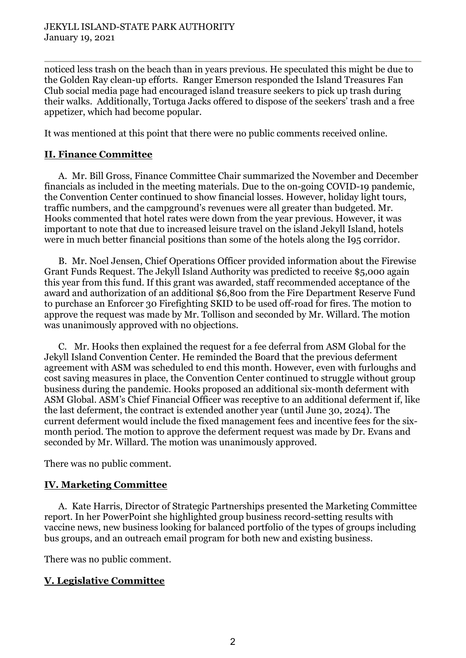noticed less trash on the beach than in years previous. He speculated this might be due to the Golden Ray clean-up efforts. Ranger Emerson responded the Island Treasures Fan Club social media page had encouraged island treasure seekers to pick up trash during their walks. Additionally, Tortuga Jacks offered to dispose of the seekers' trash and a free appetizer, which had become popular.

It was mentioned at this point that there were no public comments received online.

### **II. Finance Committee**

A. Mr. Bill Gross, Finance Committee Chair summarized the November and December financials as included in the meeting materials. Due to the on-going COVID-19 pandemic, the Convention Center continued to show financial losses. However, holiday light tours, traffic numbers, and the campground's revenues were all greater than budgeted. Mr. Hooks commented that hotel rates were down from the year previous. However, it was important to note that due to increased leisure travel on the island Jekyll Island, hotels were in much better financial positions than some of the hotels along the I95 corridor.

B. Mr. Noel Jensen, Chief Operations Officer provided information about the Firewise Grant Funds Request. The Jekyll Island Authority was predicted to receive \$5,000 again this year from this fund. If this grant was awarded, staff recommended acceptance of the award and authorization of an additional \$6,800 from the Fire Department Reserve Fund to purchase an Enforcer 30 Firefighting SKID to be used off-road for fires. The motion to approve the request was made by Mr. Tollison and seconded by Mr. Willard. The motion was unanimously approved with no objections.

C. Mr. Hooks then explained the request for a fee deferral from ASM Global for the Jekyll Island Convention Center. He reminded the Board that the previous deferment agreement with ASM was scheduled to end this month. However, even with furloughs and cost saving measures in place, the Convention Center continued to struggle without group business during the pandemic. Hooks proposed an additional six-month deferment with ASM Global. ASM's Chief Financial Officer was receptive to an additional deferment if, like the last deferment, the contract is extended another year (until June 30, 2024). The current deferment would include the fixed management fees and incentive fees for the sixmonth period. The motion to approve the deferment request was made by Dr. Evans and seconded by Mr. Willard. The motion was unanimously approved.

There was no public comment.

# **IV. Marketing Committee**

A. Kate Harris, Director of Strategic Partnerships presented the Marketing Committee report. In her PowerPoint she highlighted group business record-setting results with vaccine news, new business looking for balanced portfolio of the types of groups including bus groups, and an outreach email program for both new and existing business.

There was no public comment.

# **V. Legislative Committee**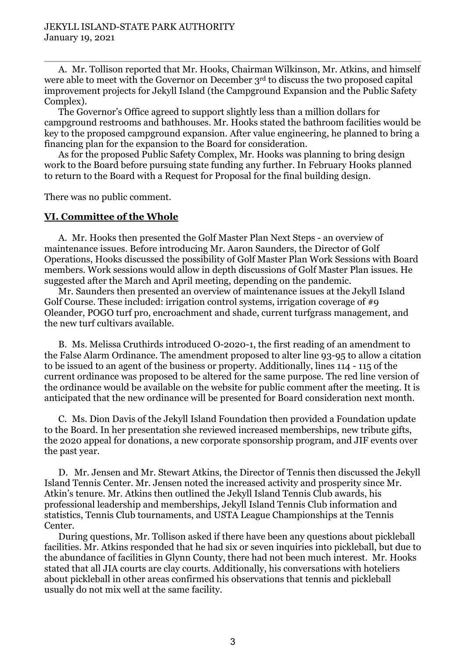A. Mr. Tollison reported that Mr. Hooks, Chairman Wilkinson, Mr. Atkins, and himself were able to meet with the Governor on December 3rd to discuss the two proposed capital improvement projects for Jekyll Island (the Campground Expansion and the Public Safety Complex).

The Governor's Office agreed to support slightly less than a million dollars for campground restrooms and bathhouses. Mr. Hooks stated the bathroom facilities would be key to the proposed campground expansion. After value engineering, he planned to bring a financing plan for the expansion to the Board for consideration.

As for the proposed Public Safety Complex, Mr. Hooks was planning to bring design work to the Board before pursuing state funding any further. In February Hooks planned to return to the Board with a Request for Proposal for the final building design.

There was no public comment.

#### **VI. Committee of the Whole**

A. Mr. Hooks then presented the Golf Master Plan Next Steps - an overview of maintenance issues. Before introducing Mr. Aaron Saunders, the Director of Golf Operations, Hooks discussed the possibility of Golf Master Plan Work Sessions with Board members. Work sessions would allow in depth discussions of Golf Master Plan issues. He suggested after the March and April meeting, depending on the pandemic.

Mr. Saunders then presented an overview of maintenance issues at the Jekyll Island Golf Course. These included: irrigation control systems, irrigation coverage of #9 Oleander, POGO turf pro, encroachment and shade, current turfgrass management, and the new turf cultivars available.

B. Ms. Melissa Cruthirds introduced O-2020-1, the first reading of an amendment to the False Alarm Ordinance. The amendment proposed to alter line 93-95 to allow a citation to be issued to an agent of the business or property. Additionally, lines 114 - 115 of the current ordinance was proposed to be altered for the same purpose. The red line version of the ordinance would be available on the website for public comment after the meeting. It is anticipated that the new ordinance will be presented for Board consideration next month.

C. Ms. Dion Davis of the Jekyll Island Foundation then provided a Foundation update to the Board. In her presentation she reviewed increased memberships, new tribute gifts, the 2020 appeal for donations, a new corporate sponsorship program, and JIF events over the past year.

D. Mr. Jensen and Mr. Stewart Atkins, the Director of Tennis then discussed the Jekyll Island Tennis Center. Mr. Jensen noted the increased activity and prosperity since Mr. Atkin's tenure. Mr. Atkins then outlined the Jekyll Island Tennis Club awards, his professional leadership and memberships, Jekyll Island Tennis Club information and statistics, Tennis Club tournaments, and USTA League Championships at the Tennis Center.

During questions, Mr. Tollison asked if there have been any questions about pickleball facilities. Mr. Atkins responded that he had six or seven inquiries into pickleball, but due to the abundance of facilities in Glynn County, there had not been much interest. Mr. Hooks stated that all JIA courts are clay courts. Additionally, his conversations with hoteliers about pickleball in other areas confirmed his observations that tennis and pickleball usually do not mix well at the same facility.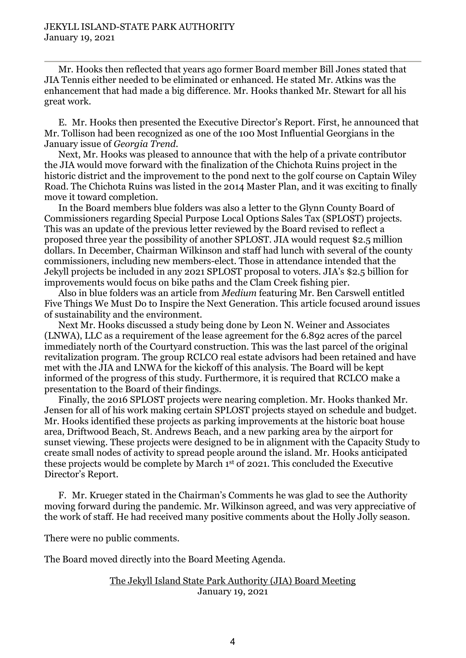Mr. Hooks then reflected that years ago former Board member Bill Jones stated that JIA Tennis either needed to be eliminated or enhanced. He stated Mr. Atkins was the enhancement that had made a big difference. Mr. Hooks thanked Mr. Stewart for all his great work.

E. Mr. Hooks then presented the Executive Director's Report. First, he announced that Mr. Tollison had been recognized as one of the 100 Most Influential Georgians in the January issue of *Georgia Trend*.

Next, Mr. Hooks was pleased to announce that with the help of a private contributor the JIA would move forward with the finalization of the Chichota Ruins project in the historic district and the improvement to the pond next to the golf course on Captain Wiley Road. The Chichota Ruins was listed in the 2014 Master Plan, and it was exciting to finally move it toward completion.

In the Board members blue folders was also a letter to the Glynn County Board of Commissioners regarding Special Purpose Local Options Sales Tax (SPLOST) projects. This was an update of the previous letter reviewed by the Board revised to reflect a proposed three year the possibility of another SPLOST. JIA would request \$2.5 million dollars. In December, Chairman Wilkinson and staff had lunch with several of the county commissioners, including new members-elect. Those in attendance intended that the Jekyll projects be included in any 2021 SPLOST proposal to voters. JIA's \$2.5 billion for improvements would focus on bike paths and the Clam Creek fishing pier.

Also in blue folders was an article from *Medium* featuring Mr. Ben Carswell entitled Five Things We Must Do to Inspire the Next Generation. This article focused around issues of sustainability and the environment.

Next Mr. Hooks discussed a study being done by Leon N. Weiner and Associates (LNWA), LLC as a requirement of the lease agreement for the 6.892 acres of the parcel immediately north of the Courtyard construction. This was the last parcel of the original revitalization program. The group RCLCO real estate advisors had been retained and have met with the JIA and LNWA for the kickoff of this analysis. The Board will be kept informed of the progress of this study. Furthermore, it is required that RCLCO make a presentation to the Board of their findings.

Finally, the 2016 SPLOST projects were nearing completion. Mr. Hooks thanked Mr. Jensen for all of his work making certain SPLOST projects stayed on schedule and budget. Mr. Hooks identified these projects as parking improvements at the historic boat house area, Driftwood Beach, St. Andrews Beach, and a new parking area by the airport for sunset viewing. These projects were designed to be in alignment with the Capacity Study to create small nodes of activity to spread people around the island. Mr. Hooks anticipated these projects would be complete by March 1st of 2021. This concluded the Executive Director's Report.

F. Mr. Krueger stated in the Chairman's Comments he was glad to see the Authority moving forward during the pandemic. Mr. Wilkinson agreed, and was very appreciative of the work of staff. He had received many positive comments about the Holly Jolly season.

There were no public comments.

The Board moved directly into the Board Meeting Agenda.

#### The Jekyll Island State Park Authority (JIA) Board Meeting January 19, 2021